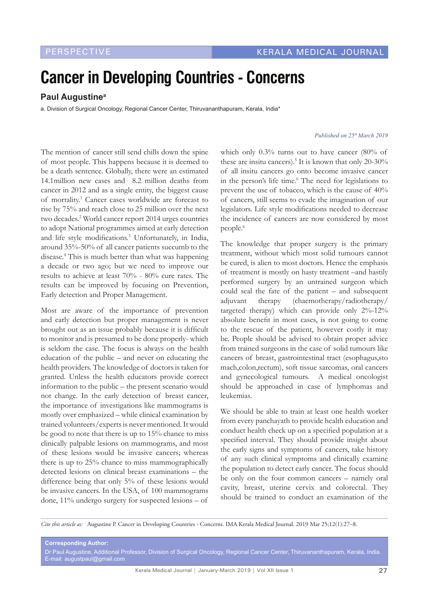## **Cancer in Developing Countries - Concerns**

## **Paul Augustinea**

a. Division of Surgical Oncology, Regional Cancer Center, Thiruvananthapuram, Kerala, India\*

## *Published on 25th March 2019*

The mention of cancer still send chills down the spine of most people. This happens because it is deemed to be a death sentence. Globally, there were an estimated 14.1million new cases and 8.2 million deaths from cancer in 2012 and as a single entity, the biggest cause of mortality.<sup>1</sup> Cancer cases worldwide are forecast to rise by 75% and reach close to 25 million over the next two decades.2 World cancer report 2014 urges countries to adopt National programmes aimed at early detection and life style modifications.<sup>3</sup> Unfortunately, in India, around 35%-50% of all cancer patients succumb to the disease.4 This is much better than what was happening a decade or two ago; but we need to improve our results to achieve at least 70% - 80% cure rates. The results can be improved by focusing on Prevention, Early detection and Proper Management.

Most are aware of the importance of prevention and early detection but proper management is never brought out as an issue probably because it is difficult to monitor and is presumed to be done properly- which is seldom the case. The focus is always on the health education of the public – and never on educating the health providers. The knowledge of doctors is taken for granted. Unless the health educators provide correct information to the public – the present scenario would not change. In the early detection of breast cancer, the importance of investigations like mammograms is mostly over emphasized – while clinical examination by trained volunteers/experts is never mentioned. It would be good to note that there is up to 15% chance to miss clinically palpable lesions on mammograms, and most of these lesions would be invasive cancers; whereas there is up to 25% chance to miss mammographically detected lesions on clinical breast examinations – the difference being that only 5% of these lesions would be invasive cancers. In the USA, of 100 mammograms done, 11% undergo surgery for suspected lesions – of

which only 0.3% turns out to have cancer (80% of these are insitu cancers).<sup>5</sup> It is known that only 20-30% of all insitu cancers go onto become invasive cancer in the person's life time.<sup>6</sup> The need for legislations to prevent the use of tobacco, which is the cause of 40% of cancers, still seems to evade the imagination of our legislators. Life style modifications needed to decrease the incidence of cancers are now considered by most people.<sup>6</sup>

The knowledge that proper surgery is the primary treatment, without which most solid tumours cannot be cured, is alien to most doctors. Hence the emphasis of treatment is mostly on hasty treatment –and hastily performed surgery by an untrained surgeon which could seal the fate of the patient – and subsequent adjuvant therapy (chaemotherapy/radiotherapy/ targeted therapy) which can provide only 2%-12% absolute benefit in most cases, is not going to come to the rescue of the patient, however costly it may be. People should be advised to obtain proper advice from trained surgeons in the case of solid tumours like cancers of breast, gastrointestinal tract (esophagus,sto mach,colon,rectum), soft tissue sarcomas, oral cancers and gynecological tumours. A medical oncologist should be approached in case of lymphomas and leukemias.

We should be able to train at least one health worker from every panchayath to provide health education and conduct health check up on a specified population at a specified interval. They should provide insight about the early signs and symptoms of cancers, take history of any such clinical symptoms and clinically examine the population to detect early cancer. The focus should be only on the four common cancers – namely oral cavity, breast, uterine cervix and colorectal. They should be trained to conduct an examination of the

*Cite this article as:* Augustine P. Cancer in Developing Countries - Concerns. IMA Kerala Medical Journal. 2019 Mar 25;12(1):27–8.